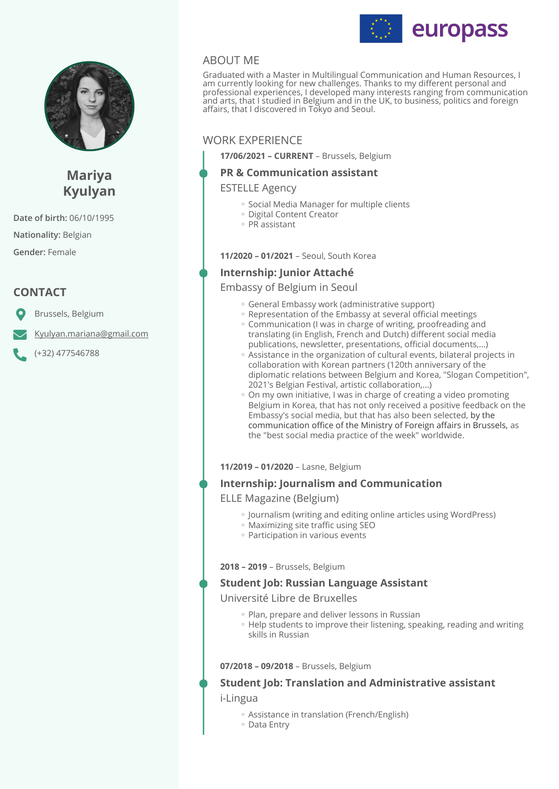



# **Mariya Kyulyan**

**Date of birth:** 06/10/1995

**Nationality:** Belgian

**Gender:** Female

# **CONTACT**

Brussels, Belgium

[Kyulyan.mariana@gmail.com](mailto:Kyulyan.mariana@gmail.com)

(+32) 477546788

# ABOUT ME

Graduated with a Master in Multilingual Communication and Human Resources, I am currently looking for new challenges. Thanks to my different personal and professional experiences, I developed many interests ranging from communication and arts, that I studied in Belgium and in the UK, to business, politics and foreign affairs, that I discovered in Tokyo and Seoul.

# WORK EXPERIENCE

**17/06/2021 – CURRENT** – Brussels, Belgium

# **PR & Communication assistant**

ESTELLE Agency

- Social Media Manager for multiple clients
- Digital Content Creator
- PR assistant ◦

**11/2020 – 01/2021** – Seoul, South Korea

# **Internship: Junior Attaché**

Embassy of Belgium in Seoul

- General Embassy work (administrative support)
- Representation of the Embassy at several official meetings ◦ Communication (I was in charge of writing, proofreading and translating (in English, French and Dutch) different social media
- publications, newsletter, presentations, official documents,...) Assistance in the organization of cultural events, bilateral projects in ◦ collaboration with Korean partners (120th anniversary of the diplomatic relations between Belgium and Korea, "Slogan Competition", 2021's Belgian Festival, artistic collaboration,...)
- On my own initiative, I was in charge of creating a video promoting Belgium in Korea, that has not only received a positive feedback on the Embassy's social media, but that has also been selected, by the communication office of the Ministry of Foreign affairs in Brussels, as the "best social media practice of the week" worldwide.

### **11/2019 – 01/2020** – Lasne, Belgium

# **Internship: Journalism and Communication**

ELLE Magazine (Belgium)

- Journalism (writing and editing online articles using WordPress) ◦
- Maximizing site traffic using SEO
- Participation in various events

**2018 – 2019** – Brussels, Belgium

### **Student Job: Russian Language Assistant**

Université Libre de Bruxelles

- Plan, prepare and deliver lessons in Russian
- Help students to improve their listening, speaking, reading and writing skills in Russian

#### **07/2018 – 09/2018** – Brussels, Belgium

# **Student Job: Translation and Administrative assistant**  i-Lingua

- Assistance in translation (French/English) ◦
- Data Entry ◦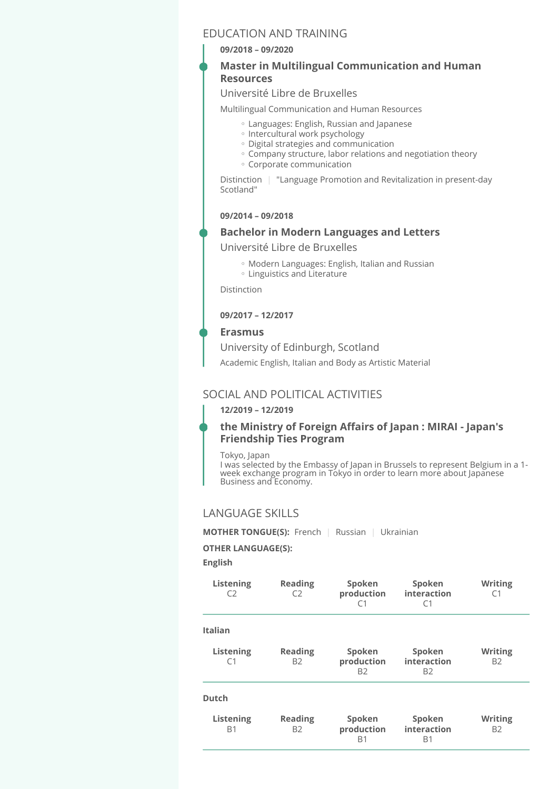# EDUCATION AND TRAINING

#### **09/2018 – 09/2020**

### **Master in Multilingual Communication and Human Resources**

### Université Libre de Bruxelles

Multilingual Communication and Human Resources

- Languages: English, Russian and Japanese ◦
- Intercultural work psychology
- Digital strategies and communication ◦
- Company structure, labor relations and negotiation theory ◦
- Corporate communication ◦

Distinction | "Language Promotion and Revitalization in present-day Scotland"

#### **09/2014 – 09/2018**

#### **Bachelor in Modern Languages and Letters**

Université Libre de Bruxelles

- Modern Languages: English, Italian and Russian ◦
- Linguistics and Literature ◦

Distinction

#### **09/2017 – 12/2017**

#### **Erasmus**

University of Edinburgh, Scotland

Academic English, Italian and Body as Artistic Material

# SOCIAL AND POLITICAL ACTIVITIES

#### **12/2019 – 12/2019**

# **the Ministry of Foreign Affairs of Japan : MIRAI - Japan's Friendship Ties Program**

#### Tokyo, Japan

I was selected by the Embassy of Japan in Brussels to represent Belgium in a 1 week exchange program in Tokyo in order to learn more about Japanese Business and Economy.

# LANGUAGE SKILLS

**MOTHER TONGUE(S):** French | Russian | Ukrainian

#### **OTHER LANGUAGE(S):**

**English** 

| Listening<br>C <sub>2</sub> | <b>Reading</b><br>C2             | Spoken<br>production<br>C <sub>1</sub> | Spoken<br>interaction<br>C <sub>1</sub> | Writing<br>C1               |
|-----------------------------|----------------------------------|----------------------------------------|-----------------------------------------|-----------------------------|
| <b>Italian</b>              |                                  |                                        |                                         |                             |
| Listening<br>C <sub>1</sub> | <b>Reading</b><br>B <sub>2</sub> | Spoken<br>production<br><b>B2</b>      | Spoken<br>interaction<br><b>B2</b>      | <b>Writing</b><br><b>B2</b> |
| <b>Dutch</b>                |                                  |                                        |                                         |                             |
| Listening<br><b>B1</b>      | <b>Reading</b><br>B2             | Spoken<br>production<br><b>B1</b>      | Spoken<br>interaction<br><b>B1</b>      | <b>Writing</b><br><b>B2</b> |